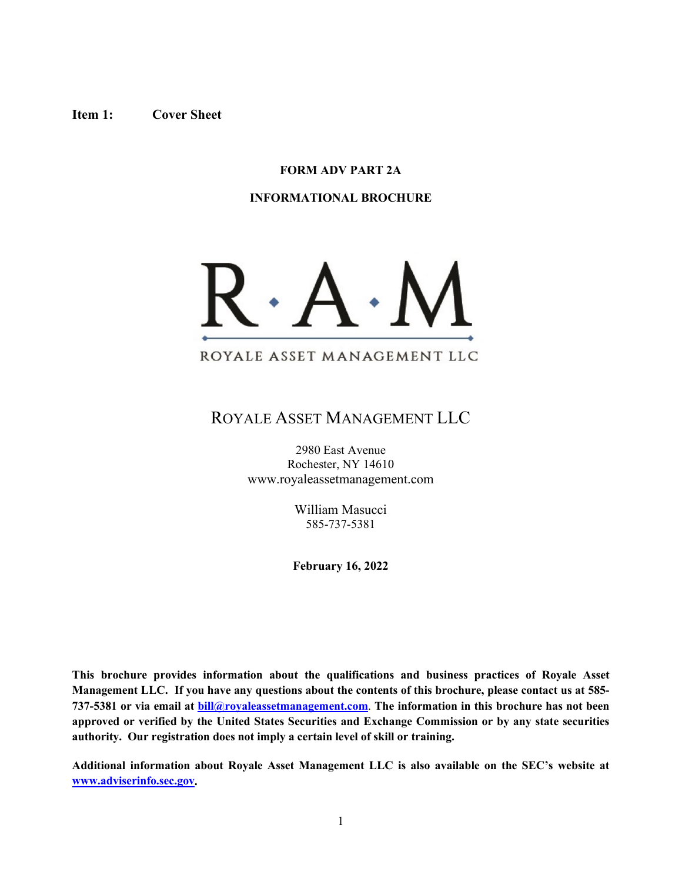#### <span id="page-0-0"></span>**Item 1: Cover Sheet**

## **FORM ADV PART 2A**

#### **INFORMATIONAL BROCHURE**



# ROYALE ASSET MANAGEMENT LLC

2980 East Avenue Rochester, NY 14610 www.royaleassetmanagement.com

> William Masucci 585-737-5381

**February 16, 2022**

**This brochure provides information about the qualifications and business practices of Royale Asset Management LLC. If you have any questions about the contents of this brochure, please contact us at 585- 737-5381 or via email at [bill@royaleassetmanagement.com](mailto:williammasucci@gmail.com)**. **The information in this brochure has not been approved or verified by the United States Securities and Exchange Commission or by any state securities authority. Our registration does not imply a certain level of skill or training.**

**Additional information about Royale Asset Management LLC is also available on the SEC's website at [www.adviserinfo.sec.gov.](http://www.adviserinfo.sec.gov/)**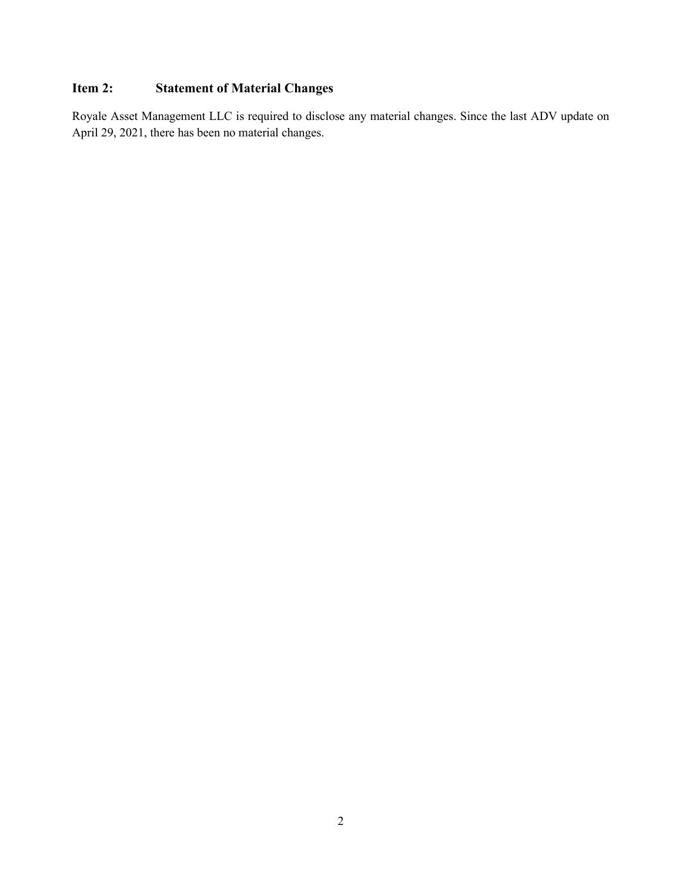# <span id="page-1-0"></span>**Item 2: Statement of Material Changes**

Royale Asset Management LLC is required to disclose any material changes. Since the last ADV update on April 29, 2021, there has been no material changes.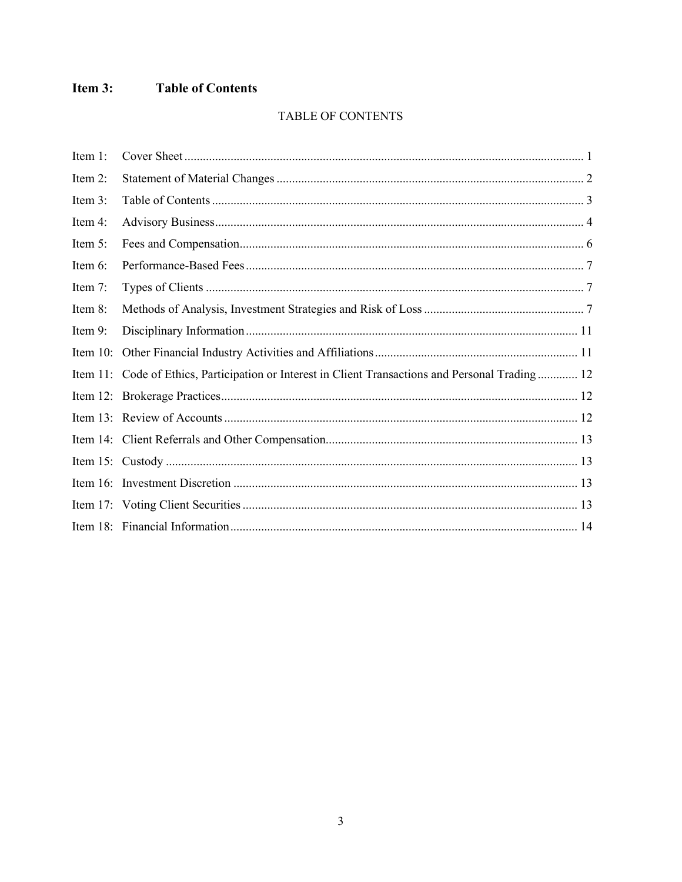#### <span id="page-2-0"></span>Item  $3:$ **Table of Contents**

# TABLE OF CONTENTS

| Item 1:     |                                                                                                   |
|-------------|---------------------------------------------------------------------------------------------------|
| Item 2:     |                                                                                                   |
| Item 3:     |                                                                                                   |
| Item 4:     |                                                                                                   |
| Item 5:     |                                                                                                   |
| Item 6:     |                                                                                                   |
| Item 7:     |                                                                                                   |
| Item 8:     |                                                                                                   |
| Item 9:     |                                                                                                   |
| Item $10$ : |                                                                                                   |
|             | Item 11: Code of Ethics, Participation or Interest in Client Transactions and Personal Trading 12 |
|             |                                                                                                   |
|             |                                                                                                   |
|             |                                                                                                   |
|             |                                                                                                   |
|             |                                                                                                   |
|             |                                                                                                   |
|             |                                                                                                   |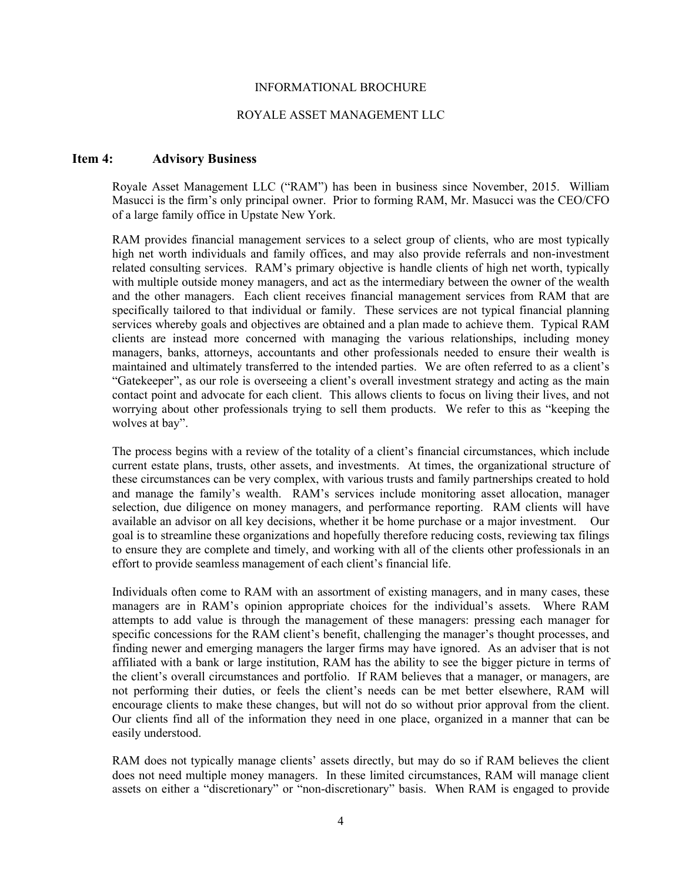#### INFORMATIONAL BROCHURE

#### ROYALE ASSET MANAGEMENT LLC

#### <span id="page-3-0"></span>**Item 4: Advisory Business**

Royale Asset Management LLC ("RAM") has been in business since November, 2015. William Masucci is the firm's only principal owner. Prior to forming RAM, Mr. Masucci was the CEO/CFO of a large family office in Upstate New York.

RAM provides financial management services to a select group of clients, who are most typically high net worth individuals and family offices, and may also provide referrals and non-investment related consulting services. RAM's primary objective is handle clients of high net worth, typically with multiple outside money managers, and act as the intermediary between the owner of the wealth and the other managers. Each client receives financial management services from RAM that are specifically tailored to that individual or family. These services are not typical financial planning services whereby goals and objectives are obtained and a plan made to achieve them. Typical RAM clients are instead more concerned with managing the various relationships, including money managers, banks, attorneys, accountants and other professionals needed to ensure their wealth is maintained and ultimately transferred to the intended parties. We are often referred to as a client's "Gatekeeper", as our role is overseeing a client's overall investment strategy and acting as the main contact point and advocate for each client. This allows clients to focus on living their lives, and not worrying about other professionals trying to sell them products. We refer to this as "keeping the wolves at bay".

The process begins with a review of the totality of a client's financial circumstances, which include current estate plans, trusts, other assets, and investments. At times, the organizational structure of these circumstances can be very complex, with various trusts and family partnerships created to hold and manage the family's wealth. RAM's services include monitoring asset allocation, manager selection, due diligence on money managers, and performance reporting. RAM clients will have available an advisor on all key decisions, whether it be home purchase or a major investment. Our goal is to streamline these organizations and hopefully therefore reducing costs, reviewing tax filings to ensure they are complete and timely, and working with all of the clients other professionals in an effort to provide seamless management of each client's financial life.

Individuals often come to RAM with an assortment of existing managers, and in many cases, these managers are in RAM's opinion appropriate choices for the individual's assets. Where RAM attempts to add value is through the management of these managers: pressing each manager for specific concessions for the RAM client's benefit, challenging the manager's thought processes, and finding newer and emerging managers the larger firms may have ignored. As an adviser that is not affiliated with a bank or large institution, RAM has the ability to see the bigger picture in terms of the client's overall circumstances and portfolio. If RAM believes that a manager, or managers, are not performing their duties, or feels the client's needs can be met better elsewhere, RAM will encourage clients to make these changes, but will not do so without prior approval from the client. Our clients find all of the information they need in one place, organized in a manner that can be easily understood.

RAM does not typically manage clients' assets directly, but may do so if RAM believes the client does not need multiple money managers. In these limited circumstances, RAM will manage client assets on either a "discretionary" or "non-discretionary" basis. When RAM is engaged to provide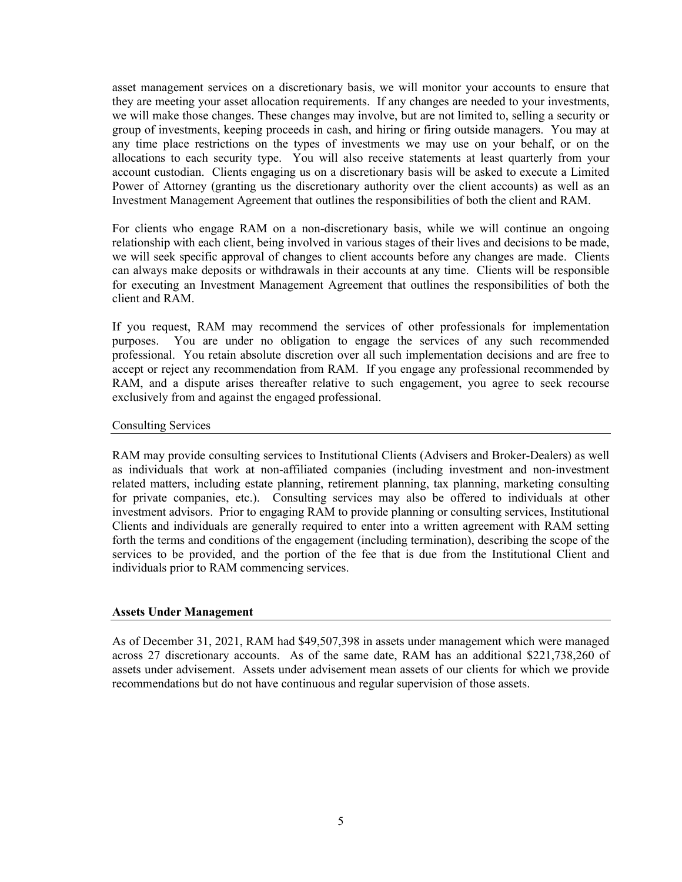asset management services on a discretionary basis, we will monitor your accounts to ensure that they are meeting your asset allocation requirements. If any changes are needed to your investments, we will make those changes. These changes may involve, but are not limited to, selling a security or group of investments, keeping proceeds in cash, and hiring or firing outside managers. You may at any time place restrictions on the types of investments we may use on your behalf, or on the allocations to each security type. You will also receive statements at least quarterly from your account custodian. Clients engaging us on a discretionary basis will be asked to execute a Limited Power of Attorney (granting us the discretionary authority over the client accounts) as well as an Investment Management Agreement that outlines the responsibilities of both the client and RAM.

For clients who engage RAM on a non-discretionary basis, while we will continue an ongoing relationship with each client, being involved in various stages of their lives and decisions to be made, we will seek specific approval of changes to client accounts before any changes are made. Clients can always make deposits or withdrawals in their accounts at any time. Clients will be responsible for executing an Investment Management Agreement that outlines the responsibilities of both the client and RAM.

If you request, RAM may recommend the services of other professionals for implementation purposes. You are under no obligation to engage the services of any such recommended professional. You retain absolute discretion over all such implementation decisions and are free to accept or reject any recommendation from RAM. If you engage any professional recommended by RAM, and a dispute arises thereafter relative to such engagement, you agree to seek recourse exclusively from and against the engaged professional.

#### Consulting Services

RAM may provide consulting services to Institutional Clients (Advisers and Broker-Dealers) as well as individuals that work at non-affiliated companies (including investment and non-investment related matters, including estate planning, retirement planning, tax planning, marketing consulting for private companies, etc.). Consulting services may also be offered to individuals at other investment advisors. Prior to engaging RAM to provide planning or consulting services, Institutional Clients and individuals are generally required to enter into a written agreement with RAM setting forth the terms and conditions of the engagement (including termination), describing the scope of the services to be provided, and the portion of the fee that is due from the Institutional Client and individuals prior to RAM commencing services.

#### **Assets Under Management**

As of December 31, 2021, RAM had \$49,507,398 in assets under management which were managed across 27 discretionary accounts. As of the same date, RAM has an additional \$221,738,260 of assets under advisement. Assets under advisement mean assets of our clients for which we provide recommendations but do not have continuous and regular supervision of those assets.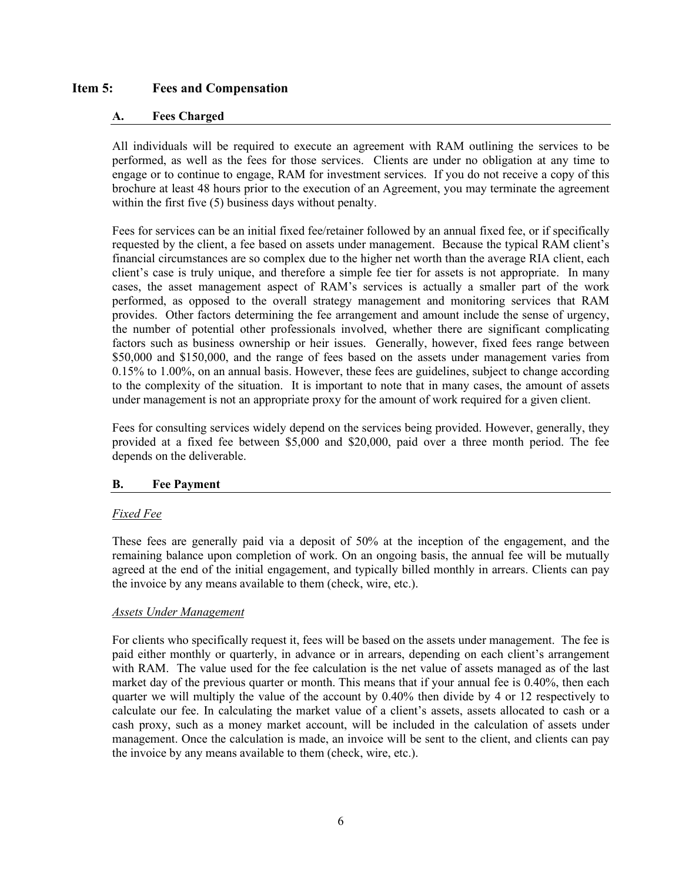## <span id="page-5-0"></span>**Item 5: Fees and Compensation**

### **A. Fees Charged**

All individuals will be required to execute an agreement with RAM outlining the services to be performed, as well as the fees for those services. Clients are under no obligation at any time to engage or to continue to engage, RAM for investment services. If you do not receive a copy of this brochure at least 48 hours prior to the execution of an Agreement, you may terminate the agreement within the first five (5) business days without penalty.

Fees for services can be an initial fixed fee/retainer followed by an annual fixed fee, or if specifically requested by the client, a fee based on assets under management. Because the typical RAM client's financial circumstances are so complex due to the higher net worth than the average RIA client, each client's case is truly unique, and therefore a simple fee tier for assets is not appropriate. In many cases, the asset management aspect of RAM's services is actually a smaller part of the work performed, as opposed to the overall strategy management and monitoring services that RAM provides. Other factors determining the fee arrangement and amount include the sense of urgency, the number of potential other professionals involved, whether there are significant complicating factors such as business ownership or heir issues. Generally, however, fixed fees range between \$50,000 and \$150,000, and the range of fees based on the assets under management varies from 0.15% to 1.00%, on an annual basis. However, these fees are guidelines, subject to change according to the complexity of the situation. It is important to note that in many cases, the amount of assets under management is not an appropriate proxy for the amount of work required for a given client.

Fees for consulting services widely depend on the services being provided. However, generally, they provided at a fixed fee between \$5,000 and \$20,000, paid over a three month period. The fee depends on the deliverable.

#### **B. Fee Payment**

#### *Fixed Fee*

These fees are generally paid via a deposit of 50% at the inception of the engagement, and the remaining balance upon completion of work. On an ongoing basis, the annual fee will be mutually agreed at the end of the initial engagement, and typically billed monthly in arrears. Clients can pay the invoice by any means available to them (check, wire, etc.).

#### *Assets Under Management*

For clients who specifically request it, fees will be based on the assets under management. The fee is paid either monthly or quarterly, in advance or in arrears, depending on each client's arrangement with RAM. The value used for the fee calculation is the net value of assets managed as of the last market day of the previous quarter or month. This means that if your annual fee is 0.40%, then each quarter we will multiply the value of the account by 0.40% then divide by 4 or 12 respectively to calculate our fee. In calculating the market value of a client's assets, assets allocated to cash or a cash proxy, such as a money market account, will be included in the calculation of assets under management. Once the calculation is made, an invoice will be sent to the client, and clients can pay the invoice by any means available to them (check, wire, etc.).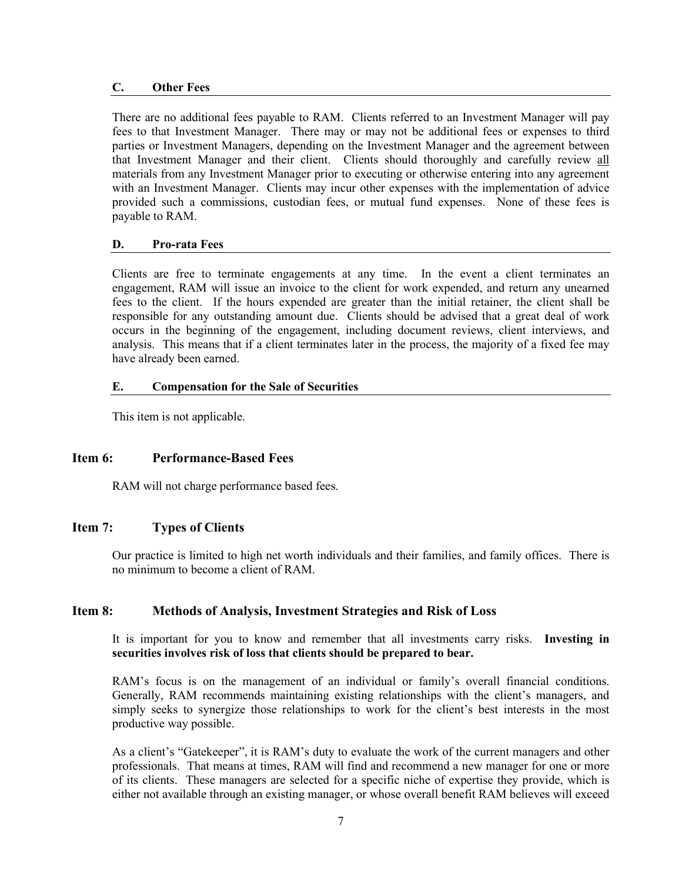#### **C. Other Fees**

There are no additional fees payable to RAM. Clients referred to an Investment Manager will pay fees to that Investment Manager. There may or may not be additional fees or expenses to third parties or Investment Managers, depending on the Investment Manager and the agreement between that Investment Manager and their client. Clients should thoroughly and carefully review all materials from any Investment Manager prior to executing or otherwise entering into any agreement with an Investment Manager. Clients may incur other expenses with the implementation of advice provided such a commissions, custodian fees, or mutual fund expenses. None of these fees is payable to RAM.

#### **D. Pro-rata Fees**

Clients are free to terminate engagements at any time. In the event a client terminates an engagement, RAM will issue an invoice to the client for work expended, and return any unearned fees to the client. If the hours expended are greater than the initial retainer, the client shall be responsible for any outstanding amount due. Clients should be advised that a great deal of work occurs in the beginning of the engagement, including document reviews, client interviews, and analysis. This means that if a client terminates later in the process, the majority of a fixed fee may have already been earned.

#### **E. Compensation for the Sale of Securities**

This item is not applicable.

#### <span id="page-6-0"></span>**Item 6: Performance-Based Fees**

RAM will not charge performance based fees.

# <span id="page-6-1"></span>**Item 7: Types of Clients**

Our practice is limited to high net worth individuals and their families, and family offices. There is no minimum to become a client of RAM.

#### <span id="page-6-2"></span>**Item 8: Methods of Analysis, Investment Strategies and Risk of Loss**

It is important for you to know and remember that all investments carry risks. **Investing in securities involves risk of loss that clients should be prepared to bear.** 

RAM's focus is on the management of an individual or family's overall financial conditions. Generally, RAM recommends maintaining existing relationships with the client's managers, and simply seeks to synergize those relationships to work for the client's best interests in the most productive way possible.

As a client's "Gatekeeper", it is RAM's duty to evaluate the work of the current managers and other professionals. That means at times, RAM will find and recommend a new manager for one or more of its clients. These managers are selected for a specific niche of expertise they provide, which is either not available through an existing manager, or whose overall benefit RAM believes will exceed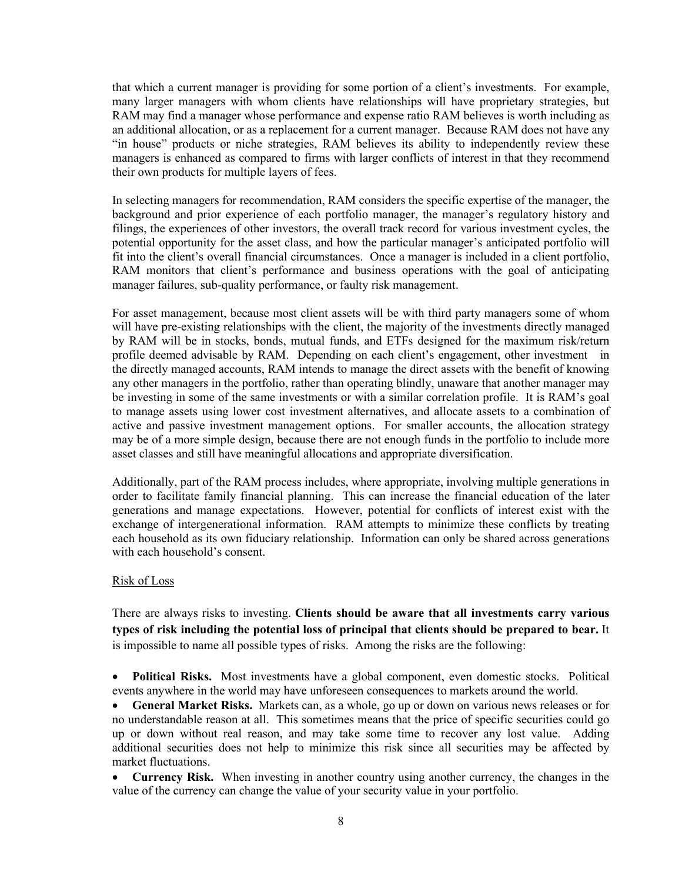that which a current manager is providing for some portion of a client's investments. For example, many larger managers with whom clients have relationships will have proprietary strategies, but RAM may find a manager whose performance and expense ratio RAM believes is worth including as an additional allocation, or as a replacement for a current manager. Because RAM does not have any "in house" products or niche strategies, RAM believes its ability to independently review these managers is enhanced as compared to firms with larger conflicts of interest in that they recommend their own products for multiple layers of fees.

In selecting managers for recommendation, RAM considers the specific expertise of the manager, the background and prior experience of each portfolio manager, the manager's regulatory history and filings, the experiences of other investors, the overall track record for various investment cycles, the potential opportunity for the asset class, and how the particular manager's anticipated portfolio will fit into the client's overall financial circumstances. Once a manager is included in a client portfolio, RAM monitors that client's performance and business operations with the goal of anticipating manager failures, sub-quality performance, or faulty risk management.

For asset management, because most client assets will be with third party managers some of whom will have pre-existing relationships with the client, the majority of the investments directly managed by RAM will be in stocks, bonds, mutual funds, and ETFs designed for the maximum risk/return profile deemed advisable by RAM. Depending on each client's engagement, other investment in the directly managed accounts, RAM intends to manage the direct assets with the benefit of knowing any other managers in the portfolio, rather than operating blindly, unaware that another manager may be investing in some of the same investments or with a similar correlation profile. It is RAM's goal to manage assets using lower cost investment alternatives, and allocate assets to a combination of active and passive investment management options. For smaller accounts, the allocation strategy may be of a more simple design, because there are not enough funds in the portfolio to include more asset classes and still have meaningful allocations and appropriate diversification.

Additionally, part of the RAM process includes, where appropriate, involving multiple generations in order to facilitate family financial planning. This can increase the financial education of the later generations and manage expectations. However, potential for conflicts of interest exist with the exchange of intergenerational information. RAM attempts to minimize these conflicts by treating each household as its own fiduciary relationship. Information can only be shared across generations with each household's consent.

#### Risk of Loss

There are always risks to investing. **Clients should be aware that all investments carry various types of risk including the potential loss of principal that clients should be prepared to bear.** It is impossible to name all possible types of risks. Among the risks are the following:

• **Political Risks.** Most investments have a global component, even domestic stocks. Political events anywhere in the world may have unforeseen consequences to markets around the world.

• **General Market Risks.** Markets can, as a whole, go up or down on various news releases or for no understandable reason at all. This sometimes means that the price of specific securities could go up or down without real reason, and may take some time to recover any lost value. Adding additional securities does not help to minimize this risk since all securities may be affected by market fluctuations.

• **Currency Risk.** When investing in another country using another currency, the changes in the value of the currency can change the value of your security value in your portfolio.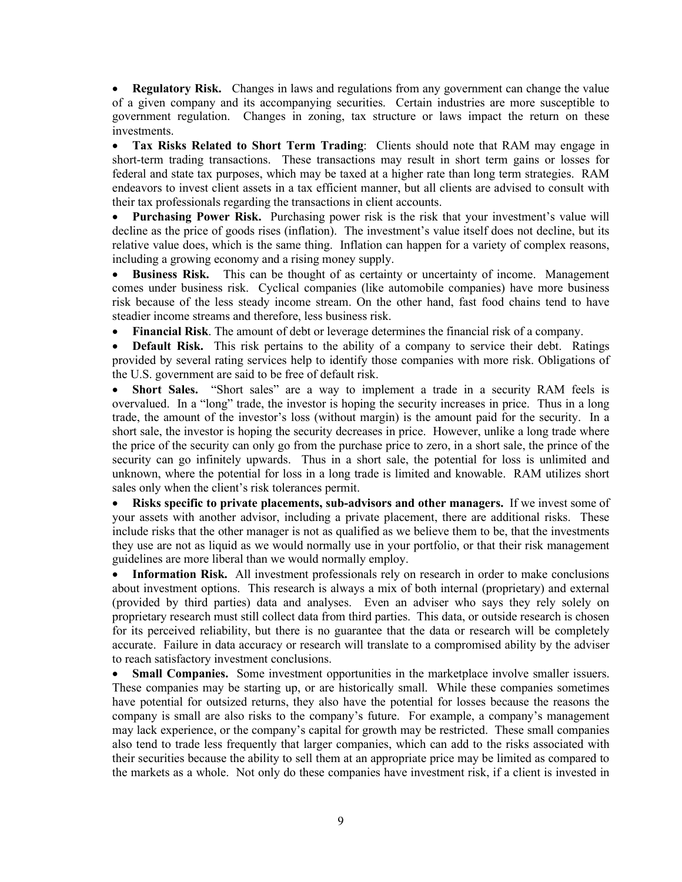• **Regulatory Risk.** Changes in laws and regulations from any government can change the value of a given company and its accompanying securities. Certain industries are more susceptible to government regulation. Changes in zoning, tax structure or laws impact the return on these investments.

• **Tax Risks Related to Short Term Trading**: Clients should note that RAM may engage in short-term trading transactions. These transactions may result in short term gains or losses for federal and state tax purposes, which may be taxed at a higher rate than long term strategies. RAM endeavors to invest client assets in a tax efficient manner, but all clients are advised to consult with their tax professionals regarding the transactions in client accounts.

• **Purchasing Power Risk.** Purchasing power risk is the risk that your investment's value will decline as the price of goods rises (inflation). The investment's value itself does not decline, but its relative value does, which is the same thing. Inflation can happen for a variety of complex reasons, including a growing economy and a rising money supply.

• **Business Risk.** This can be thought of as certainty or uncertainty of income. Management comes under business risk. Cyclical companies (like automobile companies) have more business risk because of the less steady income stream. On the other hand, fast food chains tend to have steadier income streams and therefore, less business risk.

• **Financial Risk**. The amount of debt or leverage determines the financial risk of a company.

• **Default Risk.** This risk pertains to the ability of a company to service their debt. Ratings provided by several rating services help to identify those companies with more risk. Obligations of the U.S. government are said to be free of default risk.

• **Short Sales.** "Short sales" are a way to implement a trade in a security RAM feels is overvalued. In a "long" trade, the investor is hoping the security increases in price. Thus in a long trade, the amount of the investor's loss (without margin) is the amount paid for the security. In a short sale, the investor is hoping the security decreases in price. However, unlike a long trade where the price of the security can only go from the purchase price to zero, in a short sale, the prince of the security can go infinitely upwards. Thus in a short sale, the potential for loss is unlimited and unknown, where the potential for loss in a long trade is limited and knowable. RAM utilizes short sales only when the client's risk tolerances permit.

• **Risks specific to private placements, sub-advisors and other managers.** If we invest some of your assets with another advisor, including a private placement, there are additional risks. These include risks that the other manager is not as qualified as we believe them to be, that the investments they use are not as liquid as we would normally use in your portfolio, or that their risk management guidelines are more liberal than we would normally employ.

• **Information Risk.** All investment professionals rely on research in order to make conclusions about investment options. This research is always a mix of both internal (proprietary) and external (provided by third parties) data and analyses. Even an adviser who says they rely solely on proprietary research must still collect data from third parties. This data, or outside research is chosen for its perceived reliability, but there is no guarantee that the data or research will be completely accurate. Failure in data accuracy or research will translate to a compromised ability by the adviser to reach satisfactory investment conclusions.

• **Small Companies.** Some investment opportunities in the marketplace involve smaller issuers. These companies may be starting up, or are historically small. While these companies sometimes have potential for outsized returns, they also have the potential for losses because the reasons the company is small are also risks to the company's future. For example, a company's management may lack experience, or the company's capital for growth may be restricted. These small companies also tend to trade less frequently that larger companies, which can add to the risks associated with their securities because the ability to sell them at an appropriate price may be limited as compared to the markets as a whole. Not only do these companies have investment risk, if a client is invested in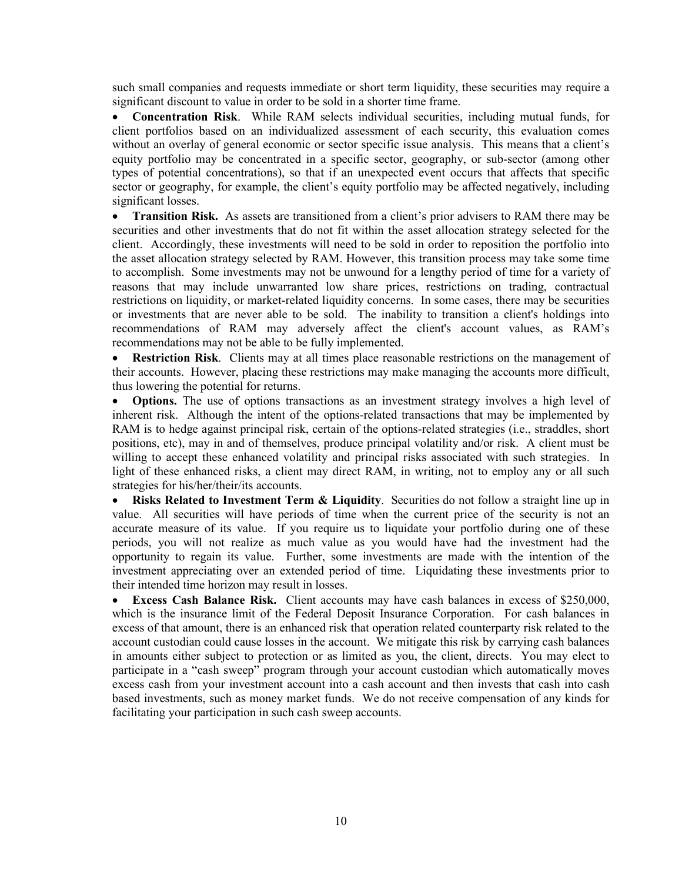such small companies and requests immediate or short term liquidity, these securities may require a significant discount to value in order to be sold in a shorter time frame.

• **Concentration Risk**. While RAM selects individual securities, including mutual funds, for client portfolios based on an individualized assessment of each security, this evaluation comes without an overlay of general economic or sector specific issue analysis. This means that a client's equity portfolio may be concentrated in a specific sector, geography, or sub-sector (among other types of potential concentrations), so that if an unexpected event occurs that affects that specific sector or geography, for example, the client's equity portfolio may be affected negatively, including significant losses.

• **Transition Risk.** As assets are transitioned from a client's prior advisers to RAM there may be securities and other investments that do not fit within the asset allocation strategy selected for the client. Accordingly, these investments will need to be sold in order to reposition the portfolio into the asset allocation strategy selected by RAM. However, this transition process may take some time to accomplish. Some investments may not be unwound for a lengthy period of time for a variety of reasons that may include unwarranted low share prices, restrictions on trading, contractual restrictions on liquidity, or market-related liquidity concerns. In some cases, there may be securities or investments that are never able to be sold. The inability to transition a client's holdings into recommendations of RAM may adversely affect the client's account values, as RAM's recommendations may not be able to be fully implemented.

• **Restriction Risk**. Clients may at all times place reasonable restrictions on the management of their accounts. However, placing these restrictions may make managing the accounts more difficult, thus lowering the potential for returns.

• **Options.** The use of options transactions as an investment strategy involves a high level of inherent risk. Although the intent of the options-related transactions that may be implemented by RAM is to hedge against principal risk, certain of the options-related strategies (i.e., straddles, short positions, etc), may in and of themselves, produce principal volatility and/or risk. A client must be willing to accept these enhanced volatility and principal risks associated with such strategies. In light of these enhanced risks, a client may direct RAM, in writing, not to employ any or all such strategies for his/her/their/its accounts.

• **Risks Related to Investment Term & Liquidity**. Securities do not follow a straight line up in value. All securities will have periods of time when the current price of the security is not an accurate measure of its value. If you require us to liquidate your portfolio during one of these periods, you will not realize as much value as you would have had the investment had the opportunity to regain its value. Further, some investments are made with the intention of the investment appreciating over an extended period of time. Liquidating these investments prior to their intended time horizon may result in losses.

• **Excess Cash Balance Risk.** Client accounts may have cash balances in excess of \$250,000, which is the insurance limit of the Federal Deposit Insurance Corporation. For cash balances in excess of that amount, there is an enhanced risk that operation related counterparty risk related to the account custodian could cause losses in the account. We mitigate this risk by carrying cash balances in amounts either subject to protection or as limited as you, the client, directs. You may elect to participate in a "cash sweep" program through your account custodian which automatically moves excess cash from your investment account into a cash account and then invests that cash into cash based investments, such as money market funds. We do not receive compensation of any kinds for facilitating your participation in such cash sweep accounts.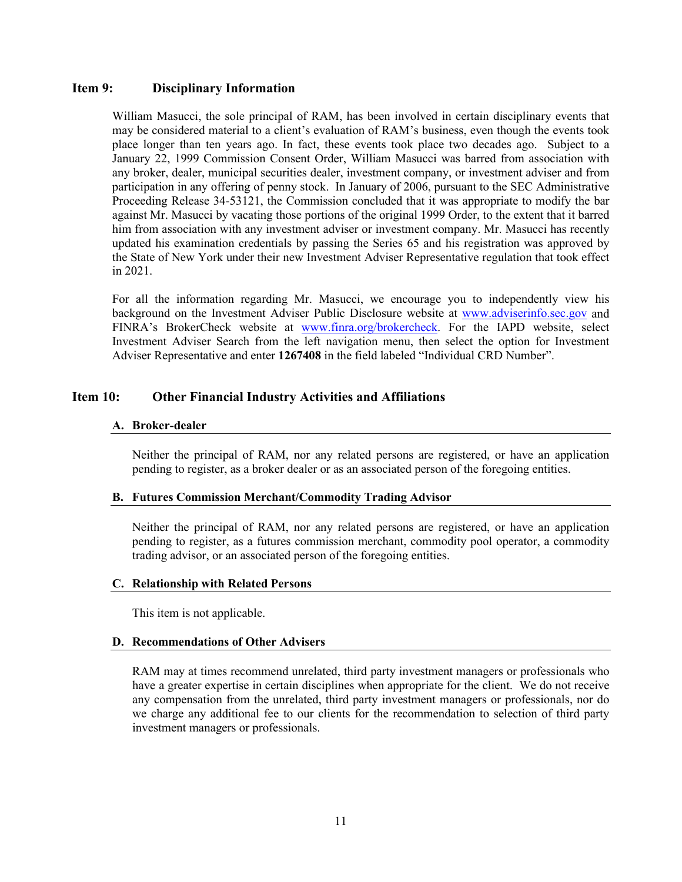### <span id="page-10-0"></span>**Item 9: Disciplinary Information**

William Masucci, the sole principal of RAM, has been involved in certain disciplinary events that may be considered material to a client's evaluation of RAM's business, even though the events took place longer than ten years ago. In fact, these events took place two decades ago. Subject to a January 22, 1999 Commission Consent Order, William Masucci was barred from association with any broker, dealer, municipal securities dealer, investment company, or investment adviser and from participation in any offering of penny stock. In January of 2006, pursuant to the SEC Administrative Proceeding Release 34-53121, the Commission concluded that it was appropriate to modify the bar against Mr. Masucci by vacating those portions of the original 1999 Order, to the extent that it barred him from association with any investment adviser or investment company. Mr. Masucci has recently updated his examination credentials by passing the Series 65 and his registration was approved by the State of New York under their new Investment Adviser Representative regulation that took effect in 2021.

For all the information regarding Mr. Masucci, we encourage you to independently view his background on the Investment Adviser Public Disclosure website at [www.adviserinfo.sec.gov](http://www.adviserinfo.sec.gov/) and FINRA's BrokerCheck website at [www.finra.org/brokercheck.](http://www.finra.org/brokercheck) For the IAPD website, select Investment Adviser Search from the left navigation menu, then select the option for Investment Adviser Representative and enter **1267408** in the field labeled "Individual CRD Number".

# <span id="page-10-1"></span>**Item 10: Other Financial Industry Activities and Affiliations**

#### **A. Broker-dealer**

Neither the principal of RAM, nor any related persons are registered, or have an application pending to register, as a broker dealer or as an associated person of the foregoing entities.

#### **B. Futures Commission Merchant/Commodity Trading Advisor**

Neither the principal of RAM, nor any related persons are registered, or have an application pending to register, as a futures commission merchant, commodity pool operator, a commodity trading advisor, or an associated person of the foregoing entities.

#### **C. Relationship with Related Persons**

This item is not applicable.

#### **D. Recommendations of Other Advisers**

RAM may at times recommend unrelated, third party investment managers or professionals who have a greater expertise in certain disciplines when appropriate for the client. We do not receive any compensation from the unrelated, third party investment managers or professionals, nor do we charge any additional fee to our clients for the recommendation to selection of third party investment managers or professionals.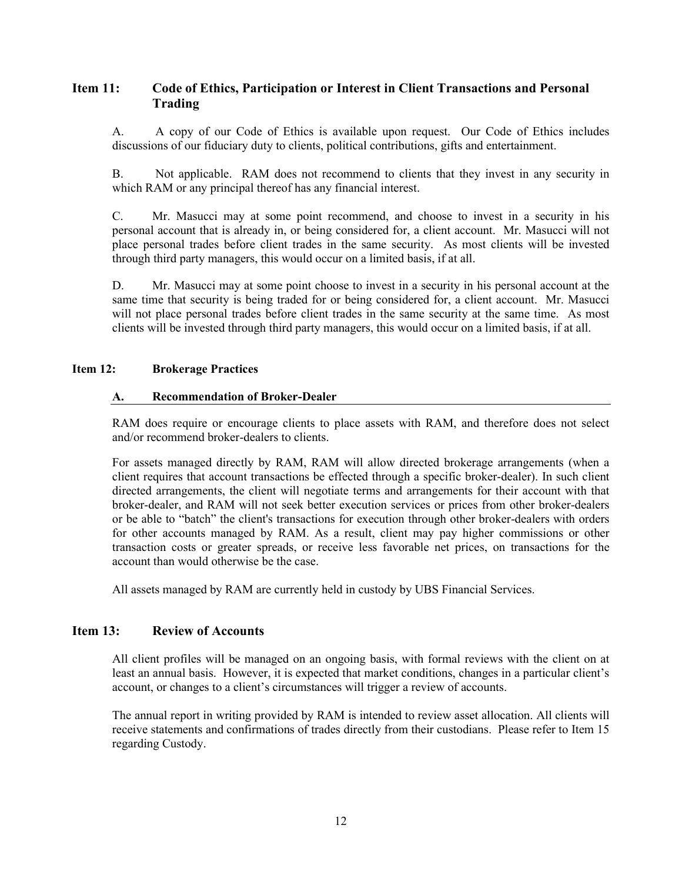# <span id="page-11-0"></span>**Item 11: Code of Ethics, Participation or Interest in Client Transactions and Personal Trading**

A. A copy of our Code of Ethics is available upon request. Our Code of Ethics includes discussions of our fiduciary duty to clients, political contributions, gifts and entertainment.

B. Not applicable. RAM does not recommend to clients that they invest in any security in which RAM or any principal thereof has any financial interest.

C. Mr. Masucci may at some point recommend, and choose to invest in a security in his personal account that is already in, or being considered for, a client account. Mr. Masucci will not place personal trades before client trades in the same security. As most clients will be invested through third party managers, this would occur on a limited basis, if at all.

D. Mr. Masucci may at some point choose to invest in a security in his personal account at the same time that security is being traded for or being considered for, a client account. Mr. Masucci will not place personal trades before client trades in the same security at the same time. As most clients will be invested through third party managers, this would occur on a limited basis, if at all.

#### <span id="page-11-1"></span>**Item 12: Brokerage Practices**

#### **A. Recommendation of Broker-Dealer**

RAM does require or encourage clients to place assets with RAM, and therefore does not select and/or recommend broker-dealers to clients.

For assets managed directly by RAM, RAM will allow directed brokerage arrangements (when a client requires that account transactions be effected through a specific broker-dealer). In such client directed arrangements, the client will negotiate terms and arrangements for their account with that broker-dealer, and RAM will not seek better execution services or prices from other broker-dealers or be able to "batch" the client's transactions for execution through other broker-dealers with orders for other accounts managed by RAM. As a result, client may pay higher commissions or other transaction costs or greater spreads, or receive less favorable net prices, on transactions for the account than would otherwise be the case.

All assets managed by RAM are currently held in custody by UBS Financial Services.

## <span id="page-11-2"></span>**Item 13: Review of Accounts**

All client profiles will be managed on an ongoing basis, with formal reviews with the client on at least an annual basis. However, it is expected that market conditions, changes in a particular client's account, or changes to a client's circumstances will trigger a review of accounts.

The annual report in writing provided by RAM is intended to review asset allocation. All clients will receive statements and confirmations of trades directly from their custodians. Please refer to Item 15 regarding Custody.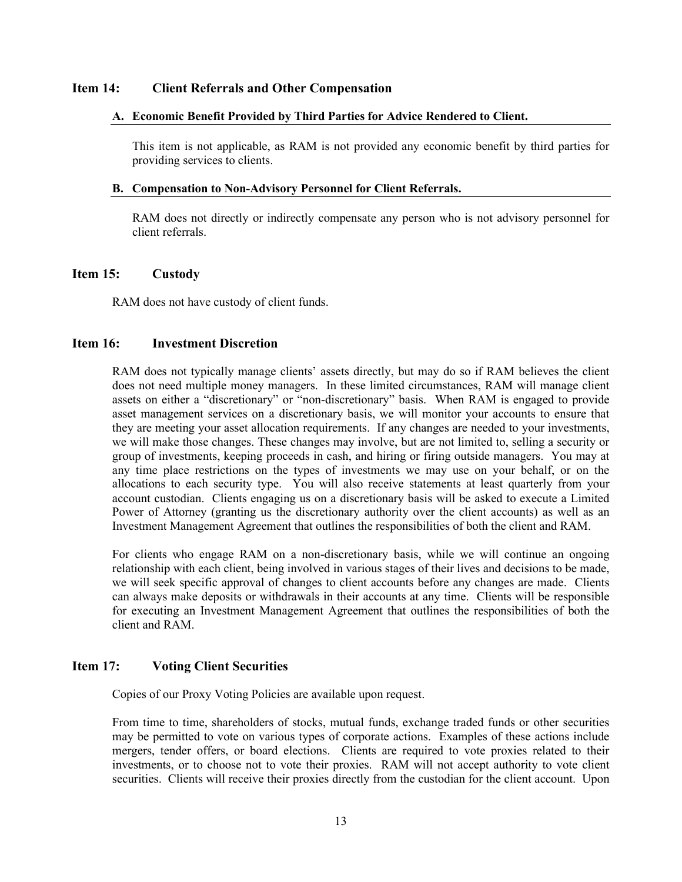#### <span id="page-12-0"></span>**Item 14: Client Referrals and Other Compensation**

#### **A. Economic Benefit Provided by Third Parties for Advice Rendered to Client.**

This item is not applicable, as RAM is not provided any economic benefit by third parties for providing services to clients.

#### **B. Compensation to Non-Advisory Personnel for Client Referrals.**

RAM does not directly or indirectly compensate any person who is not advisory personnel for client referrals.

#### <span id="page-12-1"></span>**Item 15: Custody**

RAM does not have custody of client funds.

#### <span id="page-12-2"></span>**Item 16: Investment Discretion**

RAM does not typically manage clients' assets directly, but may do so if RAM believes the client does not need multiple money managers. In these limited circumstances, RAM will manage client assets on either a "discretionary" or "non-discretionary" basis. When RAM is engaged to provide asset management services on a discretionary basis, we will monitor your accounts to ensure that they are meeting your asset allocation requirements. If any changes are needed to your investments, we will make those changes. These changes may involve, but are not limited to, selling a security or group of investments, keeping proceeds in cash, and hiring or firing outside managers. You may at any time place restrictions on the types of investments we may use on your behalf, or on the allocations to each security type. You will also receive statements at least quarterly from your account custodian. Clients engaging us on a discretionary basis will be asked to execute a Limited Power of Attorney (granting us the discretionary authority over the client accounts) as well as an Investment Management Agreement that outlines the responsibilities of both the client and RAM.

For clients who engage RAM on a non-discretionary basis, while we will continue an ongoing relationship with each client, being involved in various stages of their lives and decisions to be made, we will seek specific approval of changes to client accounts before any changes are made. Clients can always make deposits or withdrawals in their accounts at any time. Clients will be responsible for executing an Investment Management Agreement that outlines the responsibilities of both the client and RAM.

#### <span id="page-12-3"></span>**Item 17: Voting Client Securities**

Copies of our Proxy Voting Policies are available upon request.

From time to time, shareholders of stocks, mutual funds, exchange traded funds or other securities may be permitted to vote on various types of corporate actions. Examples of these actions include mergers, tender offers, or board elections. Clients are required to vote proxies related to their investments, or to choose not to vote their proxies. RAM will not accept authority to vote client securities. Clients will receive their proxies directly from the custodian for the client account. Upon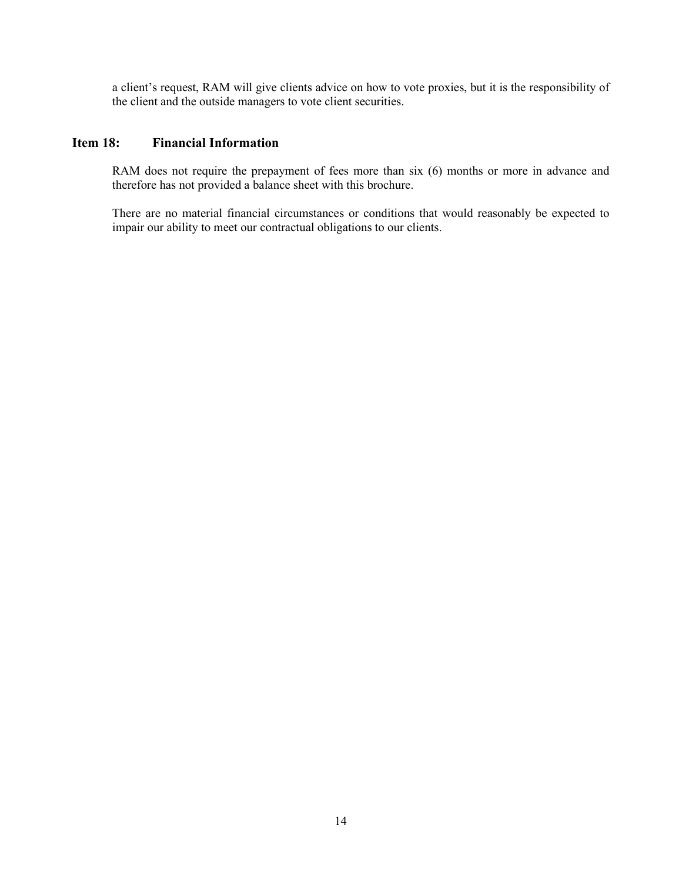a client's request, RAM will give clients advice on how to vote proxies, but it is the responsibility of the client and the outside managers to vote client securities.

# <span id="page-13-0"></span>**Item 18: Financial Information**

RAM does not require the prepayment of fees more than six (6) months or more in advance and therefore has not provided a balance sheet with this brochure.

There are no material financial circumstances or conditions that would reasonably be expected to impair our ability to meet our contractual obligations to our clients.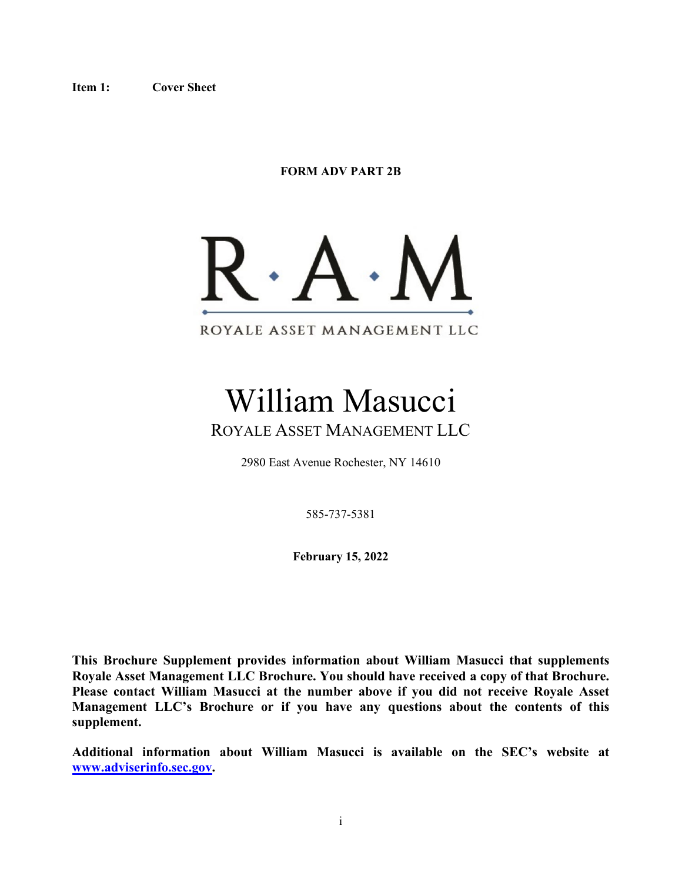**FORM ADV PART 2B**



William Masucci ROYALE ASSET MANAGEMENT LLC

2980 East Avenue Rochester, NY 14610

585-737-5381

**February 15, 2022**

**This Brochure Supplement provides information about William Masucci that supplements Royale Asset Management LLC Brochure. You should have received a copy of that Brochure. Please contact William Masucci at the number above if you did not receive Royale Asset Management LLC's Brochure or if you have any questions about the contents of this supplement.** 

**Additional information about William Masucci is available on the SEC's website at [www.adviserinfo.sec.gov.](http://www.adviserinfo.sec.gov/)**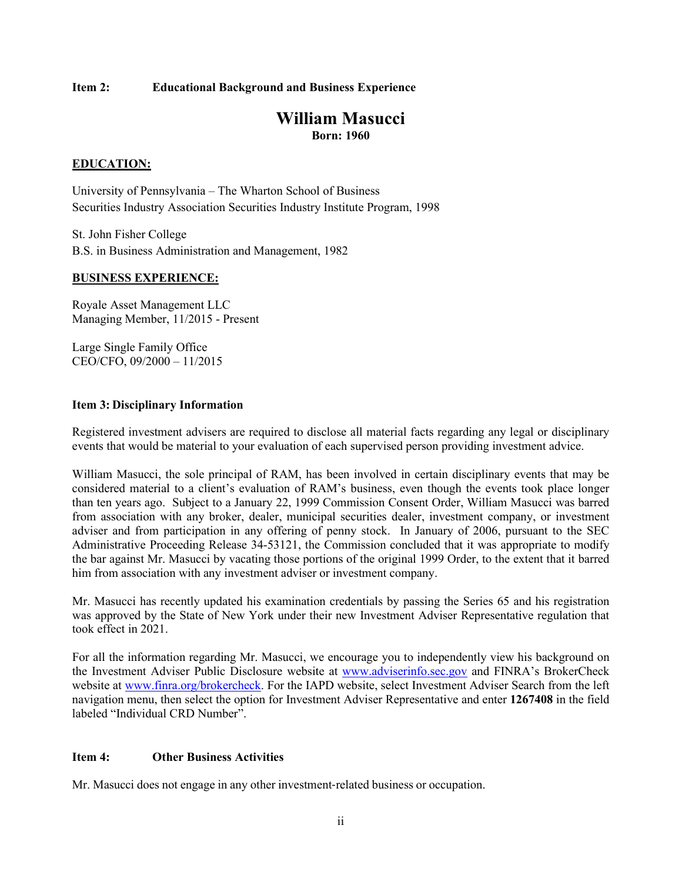#### **Item 2: Educational Background and Business Experience**

# **William Masucci Born: 1960**

#### **EDUCATION:**

University of Pennsylvania – The Wharton School of Business Securities Industry Association Securities Industry Institute Program, 1998

St. John Fisher College B.S. in Business Administration and Management, 1982

#### **BUSINESS EXPERIENCE:**

Royale Asset Management LLC Managing Member, 11/2015 - Present

Large Single Family Office CEO/CFO, 09/2000 – 11/2015

#### **Item 3: Disciplinary Information**

Registered investment advisers are required to disclose all material facts regarding any legal or disciplinary events that would be material to your evaluation of each supervised person providing investment advice.

William Masucci, the sole principal of RAM, has been involved in certain disciplinary events that may be considered material to a client's evaluation of RAM's business, even though the events took place longer than ten years ago. Subject to a January 22, 1999 Commission Consent Order, William Masucci was barred from association with any broker, dealer, municipal securities dealer, investment company, or investment adviser and from participation in any offering of penny stock. In January of 2006, pursuant to the SEC Administrative Proceeding Release 34-53121, the Commission concluded that it was appropriate to modify the bar against Mr. Masucci by vacating those portions of the original 1999 Order, to the extent that it barred him from association with any investment adviser or investment company.

Mr. Masucci has recently updated his examination credentials by passing the Series 65 and his registration was approved by the State of New York under their new Investment Adviser Representative regulation that took effect in 2021.

For all the information regarding Mr. Masucci, we encourage you to independently view his background on the Investment Adviser Public Disclosure website at [www.adviserinfo.sec.gov](http://www.adviserinfo.sec.gov/) and FINRA's BrokerCheck website at [www.finra.org/brokercheck.](http://www.finra.org/brokercheck) For the IAPD website, select Investment Adviser Search from the left navigation menu, then select the option for Investment Adviser Representative and enter **1267408** in the field labeled "Individual CRD Number".

#### **Item 4: Other Business Activities**

Mr. Masucci does not engage in any other investment‐related business or occupation.